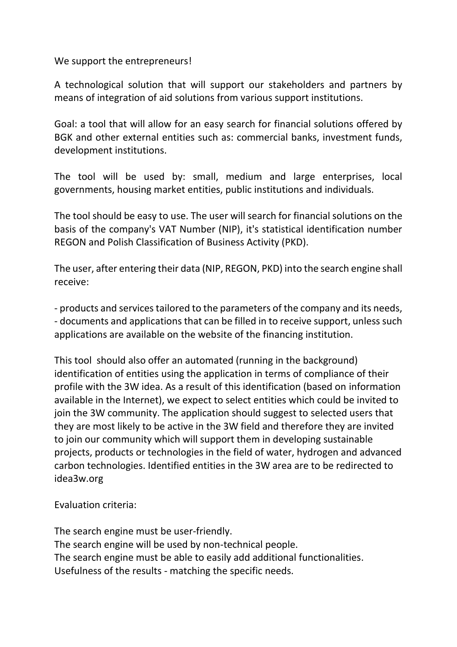We support the entrepreneurs!

A technological solution that will support our stakeholders and partners by means of integration of aid solutions from various support institutions.

Goal: a tool that will allow for an easy search for financial solutions offered by BGK and other external entities such as: commercial banks, investment funds, development institutions.

The tool will be used by: small, medium and large enterprises, local governments, housing market entities, public institutions and individuals.

The tool should be easy to use. The user will search for financial solutions on the basis of the company's VAT Number (NIP), it's statistical identification number REGON and Polish Classification of Business Activity (PKD).

The user, after entering their data (NIP, REGON, PKD) into the search engine shall receive:

- products and services tailored to the parameters of the company and its needs, - documents and applications that can be filled in to receive support, unless such applications are available on the website of the financing institution.

This tool should also offer an automated (running in the background) identification of entities using the application in terms of compliance of their profile with the 3W idea. As a result of this identification (based on information available in the Internet), we expect to select entities which could be invited to join the 3W community. The application should suggest to selected users that they are most likely to be active in the 3W field and therefore they are invited to join our community which will support them in developing sustainable projects, products or technologies in the field of water, hydrogen and advanced carbon technologies. Identified entities in the 3W area are to be redirected to idea3w.org

Evaluation criteria:

The search engine must be user-friendly. The search engine will be used by non-technical people. The search engine must be able to easily add additional functionalities. Usefulness of the results - matching the specific needs.